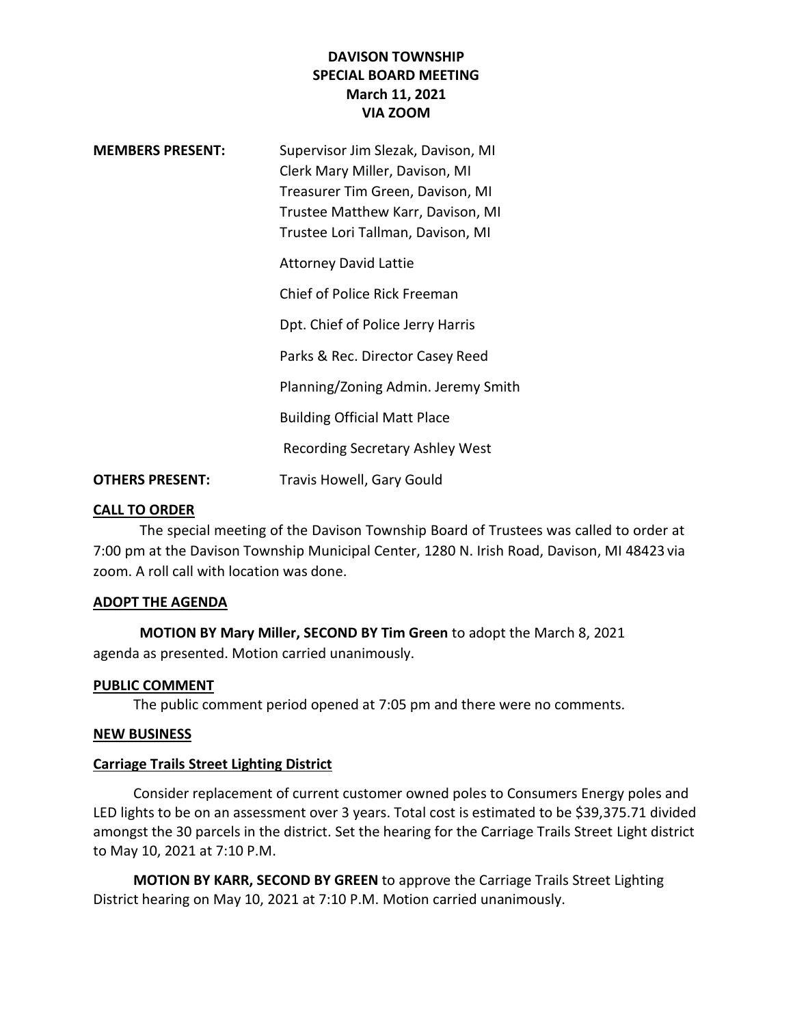# **DAVISON TOWNSHIP SPECIAL BOARD MEETING March 11, 2021 VIA ZOOM**

| <b>MEMBERS PRESENT:</b> | Supervisor Jim Slezak, Davison, MI<br>Clerk Mary Miller, Davison, MI<br>Treasurer Tim Green, Davison, MI<br>Trustee Matthew Karr, Davison, MI<br>Trustee Lori Tallman, Davison, MI |
|-------------------------|------------------------------------------------------------------------------------------------------------------------------------------------------------------------------------|
|                         | <b>Attorney David Lattie</b>                                                                                                                                                       |
|                         | Chief of Police Rick Freeman                                                                                                                                                       |
|                         | Dpt. Chief of Police Jerry Harris                                                                                                                                                  |
|                         | Parks & Rec. Director Casey Reed                                                                                                                                                   |
|                         | Planning/Zoning Admin. Jeremy Smith                                                                                                                                                |
|                         | <b>Building Official Matt Place</b>                                                                                                                                                |
|                         | Recording Secretary Ashley West                                                                                                                                                    |
| <b>OTHERS PRESENT:</b>  | <b>Travis Howell, Gary Gould</b>                                                                                                                                                   |

#### **CALL TO ORDER**

The special meeting of the Davison Township Board of Trustees was called to order at 7:00 pm at the Davison Township Municipal Center, 1280 N. Irish Road, Davison, MI 48423 via zoom. A roll call with location was done.

#### **ADOPT THE AGENDA**

**MOTION BY Mary Miller, SECOND BY Tim Green** to adopt the March 8, 2021 agenda as presented. Motion carried unanimously.

## **PUBLIC COMMENT**

The public comment period opened at 7:05 pm and there were no comments.

#### **NEW BUSINESS**

#### **Carriage Trails Street Lighting District**

Consider replacement of current customer owned poles to Consumers Energy poles and LED lights to be on an assessment over 3 years. Total cost is estimated to be \$39,375.71 divided amongst the 30 parcels in the district. Set the hearing for the Carriage Trails Street Light district to May 10, 2021 at 7:10 P.M.

**MOTION BY KARR, SECOND BY GREEN** to approve the Carriage Trails Street Lighting District hearing on May 10, 2021 at 7:10 P.M. Motion carried unanimously.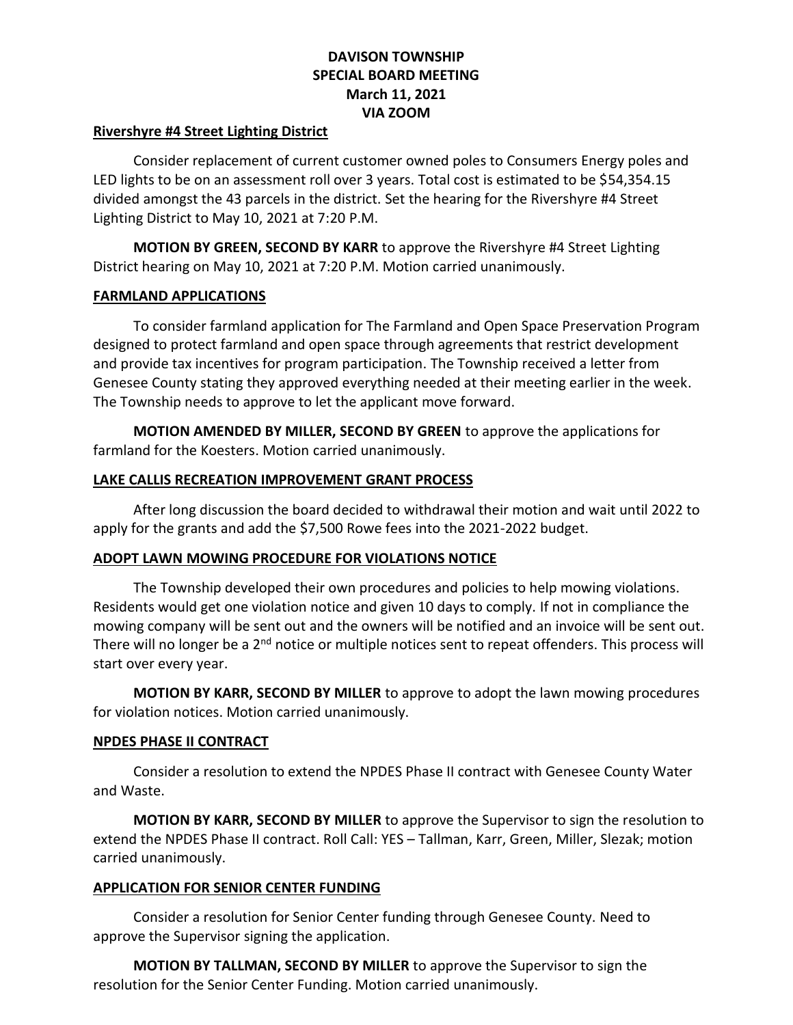# **DAVISON TOWNSHIP SPECIAL BOARD MEETING March 11, 2021 VIA ZOOM**

### **Rivershyre #4 Street Lighting District**

Consider replacement of current customer owned poles to Consumers Energy poles and LED lights to be on an assessment roll over 3 years. Total cost is estimated to be \$54,354.15 divided amongst the 43 parcels in the district. Set the hearing for the Rivershyre #4 Street Lighting District to May 10, 2021 at 7:20 P.M.

**MOTION BY GREEN, SECOND BY KARR** to approve the Rivershyre #4 Street Lighting District hearing on May 10, 2021 at 7:20 P.M. Motion carried unanimously.

## **FARMLAND APPLICATIONS**

To consider farmland application for The Farmland and Open Space Preservation Program designed to protect farmland and open space through agreements that restrict development and provide tax incentives for program participation. The Township received a letter from Genesee County stating they approved everything needed at their meeting earlier in the week. The Township needs to approve to let the applicant move forward.

**MOTION AMENDED BY MILLER, SECOND BY GREEN** to approve the applications for farmland for the Koesters. Motion carried unanimously.

## **LAKE CALLIS RECREATION IMPROVEMENT GRANT PROCESS**

After long discussion the board decided to withdrawal their motion and wait until 2022 to apply for the grants and add the \$7,500 Rowe fees into the 2021-2022 budget.

## **ADOPT LAWN MOWING PROCEDURE FOR VIOLATIONS NOTICE**

The Township developed their own procedures and policies to help mowing violations. Residents would get one violation notice and given 10 days to comply. If not in compliance the mowing company will be sent out and the owners will be notified and an invoice will be sent out. There will no longer be a  $2<sup>nd</sup>$  notice or multiple notices sent to repeat offenders. This process will start over every year.

**MOTION BY KARR, SECOND BY MILLER** to approve to adopt the lawn mowing procedures for violation notices. Motion carried unanimously.

## **NPDES PHASE II CONTRACT**

Consider a resolution to extend the NPDES Phase II contract with Genesee County Water and Waste.

**MOTION BY KARR, SECOND BY MILLER** to approve the Supervisor to sign the resolution to extend the NPDES Phase II contract. Roll Call: YES – Tallman, Karr, Green, Miller, Slezak; motion carried unanimously.

## **APPLICATION FOR SENIOR CENTER FUNDING**

Consider a resolution for Senior Center funding through Genesee County. Need to approve the Supervisor signing the application.

**MOTION BY TALLMAN, SECOND BY MILLER** to approve the Supervisor to sign the resolution for the Senior Center Funding. Motion carried unanimously.